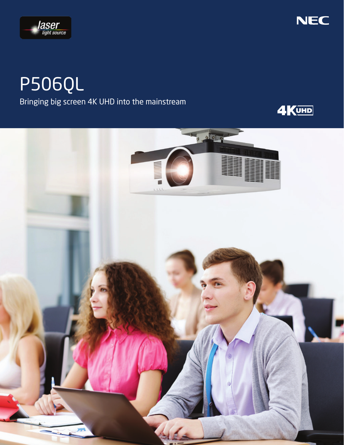



# P506QL Bringing big screen 4K UHD into the mainstream



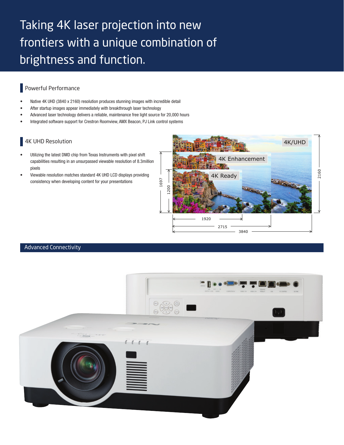## Taking 4K laser projection into new frontiers with a unique combination of brightness and function.

#### Powerful Performance

- Native 4K UHD (3840 x 2160) resolution produces stunning images with incredible detail
- After startup images appear immediately with breakthrough laser technology
- Advanced laser technology delivers a reliable, maintenance free light source for 20,000 hours
- Integrated software support for Crestron Roomview, AMX Beacon, PJ Link control systems

### 4K UHD Resolution

- Utilizing the latest DMD chip from Texas Instruments with pixel shift capabilities resulting in an unsurpassed viewable resolution of 8.3million pixels
- Viewable resolution matches standard 4K UHD LCD displays providing consistency when developing content for your presentations



#### Advanced Connectivity

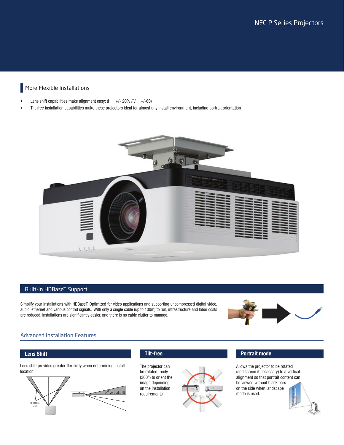### More Flexible Installations

- Lens shift capabilities make alignment easy:  $(H = +/- 20\% / V = +/-60)$
- Tilt-free installation capabilities make these projectors ideal for almost any install environment, including portrait orientation



#### Built-In HDBaseT Support

Simplify your installations with HDBaseT. Optimized for video applications and supporting uncompressed digital video, audio, ethernet and various control signals. With only a single cable (up to 100m) to run, infrastructure and labor costs are reduced, installations are significantly easier, and there is no cable clutter to manage.



#### Advanced Installation Features

#### Lens Shift

Lens shift provides greater flexibility when determining install location



#### Tilt-free

The projector can be rotated freely (360°) to orient the image depending on the installation requirements



#### Portrait mode

Allows the projector to be rotated (and screen if necessary) to a vertical alignment so that portrait content can be viewed without black bars on the side when landscape mode is used.